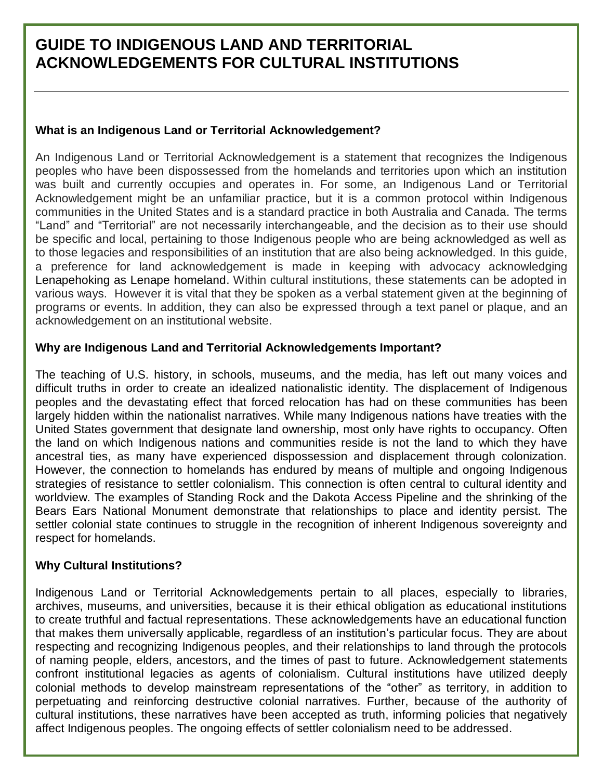# **GUIDE TO INDIGENOUS LAND AND TERRITORIAL ACKNOWLEDGEMENTS FOR CULTURAL INSTITUTIONS**

## **What is an Indigenous Land or Territorial Acknowledgement?**

An Indigenous Land or Territorial Acknowledgement is a statement that recognizes the Indigenous peoples who have been dispossessed from the homelands and territories upon which an institution was built and currently occupies and operates in. For some, an Indigenous Land or Territorial Acknowledgement might be an unfamiliar practice, but it is a common protocol within Indigenous communities in the United States and is a standard practice in both Australia and Canada. The terms "Land" and "Territorial" are not necessarily interchangeable, and the decision as to their use should be specific and local, pertaining to those Indigenous people who are being acknowledged as well as to those legacies and responsibilities of an institution that are also being acknowledged. In this guide, a preference for land acknowledgement is made in keeping with advocacy acknowledging Lenapehoking as Lenape homeland. Within cultural institutions, these statements can be adopted in various ways. However it is vital that they be spoken as a verbal statement given at the beginning of programs or events. In addition, they can also be expressed through a text panel or plaque, and an acknowledgement on an institutional website.

#### **Why are Indigenous Land and Territorial Acknowledgements Important?**

The teaching of U.S. history, in schools, museums, and the media, has left out many voices and difficult truths in order to create an idealized nationalistic identity. The displacement of Indigenous peoples and the devastating effect that forced relocation has had on these communities has been largely hidden within the nationalist narratives. While many Indigenous nations have treaties with the United States government that designate land ownership, most only have rights to occupancy. Often the land on which Indigenous nations and communities reside is not the land to which they have ancestral ties, as many have experienced dispossession and displacement through colonization. However, the connection to homelands has endured by means of multiple and ongoing Indigenous strategies of resistance to settler colonialism. This connection is often central to cultural identity and worldview. The examples of Standing Rock and the Dakota Access Pipeline and the shrinking of the Bears Ears National Monument demonstrate that relationships to place and identity persist. The settler colonial state continues to struggle in the recognition of inherent Indigenous sovereignty and respect for homelands.

#### **Why Cultural Institutions?**

Indigenous Land or Territorial Acknowledgements pertain to all places, especially to libraries, archives, museums, and universities, because it is their ethical obligation as educational institutions to create truthful and factual representations. These acknowledgements have an educational function that makes them universally applicable, regardless of an institution's particular focus. They are about respecting and recognizing Indigenous peoples, and their relationships to land through the protocols of naming people, elders, ancestors, and the times of past to future. Acknowledgement statements confront institutional legacies as agents of colonialism. Cultural institutions have utilized deeply colonial methods to develop mainstream representations of the "other" as territory, in addition to perpetuating and reinforcing destructive colonial narratives. Further, because of the authority of cultural institutions, these narratives have been accepted as truth, informing policies that negatively affect Indigenous peoples. The ongoing effects of settler colonialism need to be addressed.